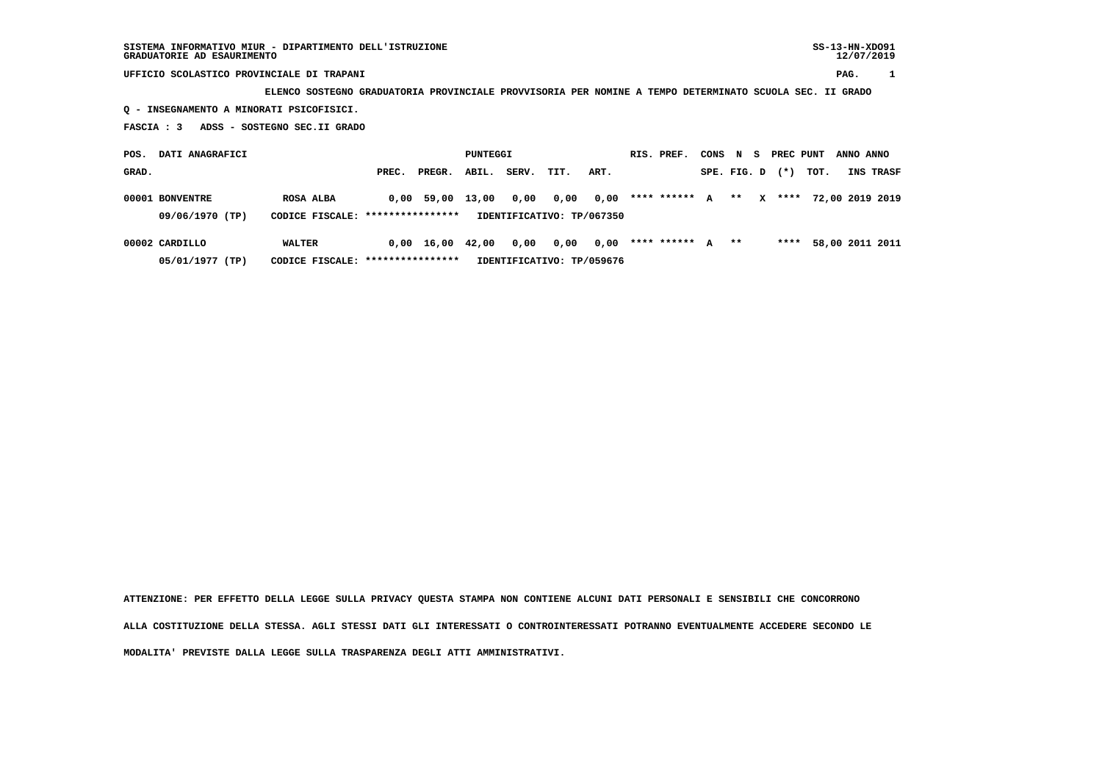## **UFFICIO SCOLASTICO PROVINCIALE DI TRAPANI PAG. 1**

 **ELENCO SOSTEGNO GRADUATORIA PROVINCIALE PROVVISORIA PER NOMINE A TEMPO DETERMINATO SCUOLA SEC. II GRADO Q - INSEGNAMENTO A MINORATI PSICOFISICI.**

 **FASCIA : 3 ADSS - SOSTEGNO SEC.II GRADO**

| DATI ANAGRAFICI<br>POS. |                                                                                  |               |       | PUNTEGGI   |       |       |      |      | RIS. PREF. | CONS          | N S          |             | PREC PUNT |          | ANNO ANNO |  |                 |
|-------------------------|----------------------------------------------------------------------------------|---------------|-------|------------|-------|-------|------|------|------------|---------------|--------------|-------------|-----------|----------|-----------|--|-----------------|
| GRAD.                   |                                                                                  |               | PREC. | PREGR.     | ABIL. | SERV. | TIT. | ART. |            |               |              | SPE. FIG. D |           | $(*)$    | тот.      |  | INS TRASF       |
|                         | 00001 BONVENTRE                                                                  | ROSA ALBA     |       | 0,00 59,00 | 13,00 | 0,00  | 0,00 | 0,00 |            | **** ******   | $\mathbf{A}$ | $***$       |           | $X$ **** |           |  | 72,00 2019 2019 |
|                         | 09/06/1970 (TP)<br>CODICE FISCALE: ****************<br>IDENTIFICATIVO: TP/067350 |               |       |            |       |       |      |      |            |               |              |             |           |          |           |  |                 |
|                         | 00002 CARDILLO                                                                   | <b>WALTER</b> |       | 0.00 16.00 | 42,00 | 0,00  | 0,00 | 0,00 |            | **** ****** A |              | $***$       |           | ****     |           |  | 58,00 2011 2011 |

 **05/01/1977 (TP) CODICE FISCALE: \*\*\*\*\*\*\*\*\*\*\*\*\*\*\*\* IDENTIFICATIVO: TP/059676**

 **ATTENZIONE: PER EFFETTO DELLA LEGGE SULLA PRIVACY QUESTA STAMPA NON CONTIENE ALCUNI DATI PERSONALI E SENSIBILI CHE CONCORRONO**

 **ALLA COSTITUZIONE DELLA STESSA. AGLI STESSI DATI GLI INTERESSATI O CONTROINTERESSATI POTRANNO EVENTUALMENTE ACCEDERE SECONDO LE**

 **MODALITA' PREVISTE DALLA LEGGE SULLA TRASPARENZA DEGLI ATTI AMMINISTRATIVI.**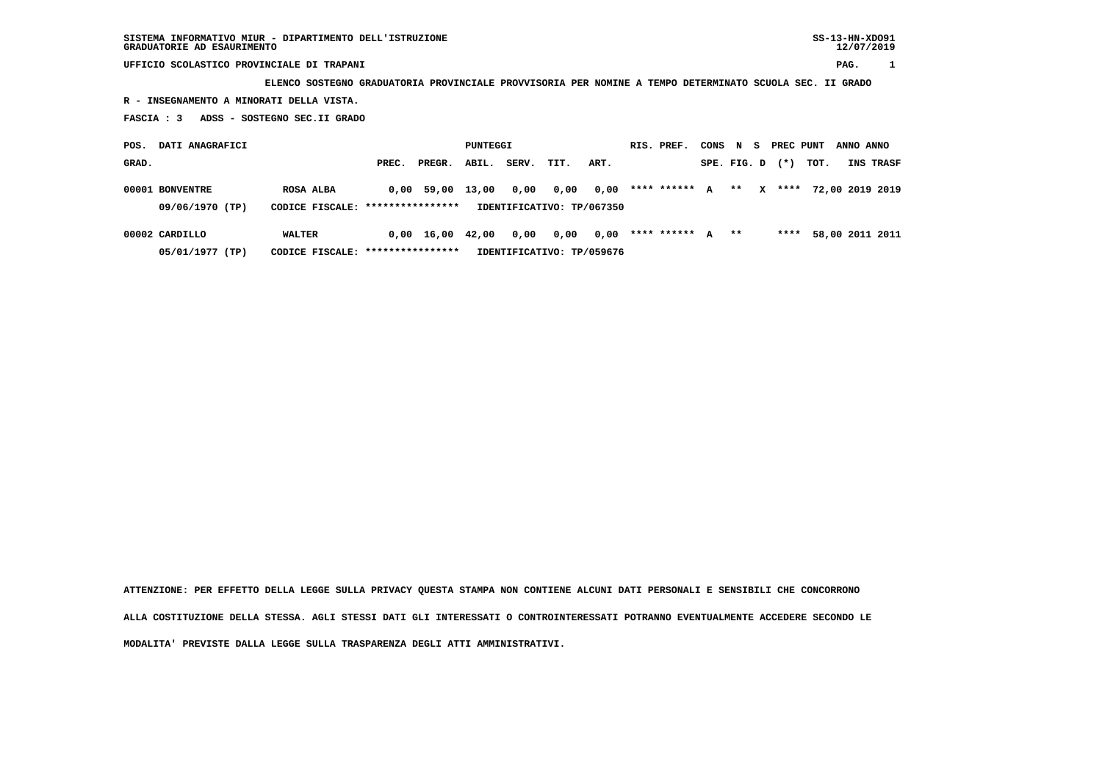**UFFICIO SCOLASTICO PROVINCIALE DI TRAPANI PAG. 1**

 **ELENCO SOSTEGNO GRADUATORIA PROVINCIALE PROVVISORIA PER NOMINE A TEMPO DETERMINATO SCUOLA SEC. II GRADO**

 **R - INSEGNAMENTO A MINORATI DELLA VISTA.**

 **FASCIA : 3 ADSS - SOSTEGNO SEC.II GRADO**

 **POS. DATI ANAGRAFICI CONSTANT PUNTEGGI RIS. PREF. CONS N S PREC PUNT ANNO ANNO GRAD. PREC. PREGR. ABIL. SERV. TIT. ART. SPE. FIG. D (\*) TOT. INS TRASF 00001 BONVENTRE ROSA ALBA 0,00 59,00 13,00 0,00 0,00 0,00 \*\*\*\* \*\*\*\*\*\* A \*\* X \*\*\*\* 72,00 2019 2019 09/06/1970 (TP) CODICE FISCALE: \*\*\*\*\*\*\*\*\*\*\*\*\*\*\*\* IDENTIFICATIVO: TP/067350 00002 CARDILLO WALTER 0,00 16,00 42,00 0,00 0,00 0,00 \*\*\*\* \*\*\*\*\*\* A \*\* \*\*\*\* 58,00 2011 2011**

 **05/01/1977 (TP) CODICE FISCALE: \*\*\*\*\*\*\*\*\*\*\*\*\*\*\*\* IDENTIFICATIVO: TP/059676**

 **ATTENZIONE: PER EFFETTO DELLA LEGGE SULLA PRIVACY QUESTA STAMPA NON CONTIENE ALCUNI DATI PERSONALI E SENSIBILI CHE CONCORRONO ALLA COSTITUZIONE DELLA STESSA. AGLI STESSI DATI GLI INTERESSATI O CONTROINTERESSATI POTRANNO EVENTUALMENTE ACCEDERE SECONDO LE MODALITA' PREVISTE DALLA LEGGE SULLA TRASPARENZA DEGLI ATTI AMMINISTRATIVI.**